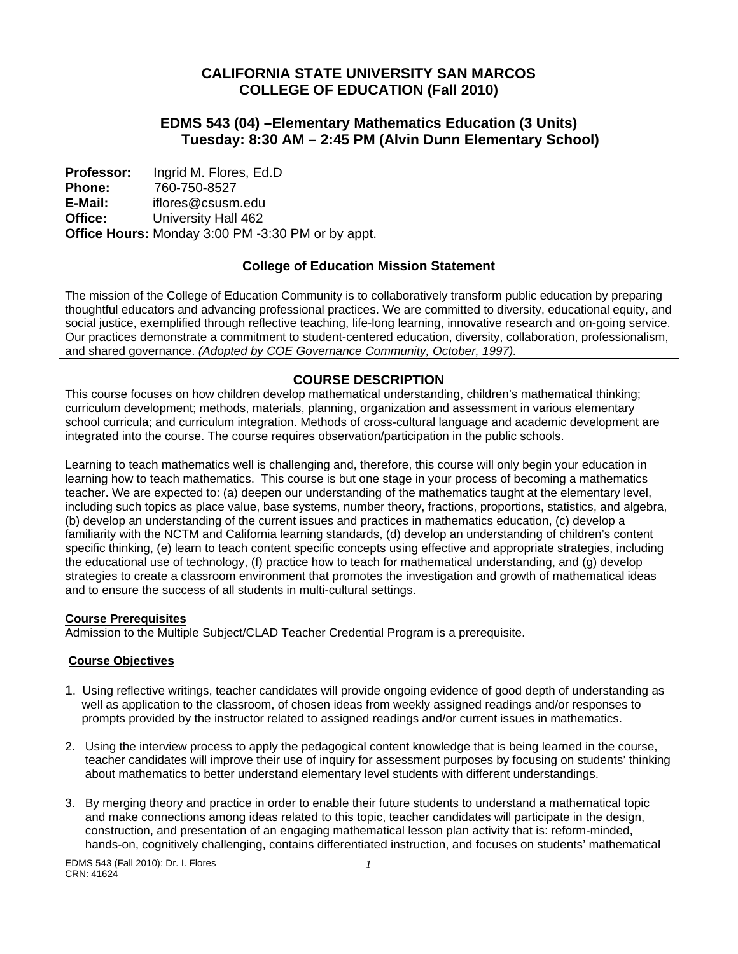# **CALIFORNIA STATE UNIVERSITY SAN MARCOS COLLEGE OF EDUCATION (Fall 2010)**

# **EDMS 543 (04) –Elementary Mathematics Education (3 Units) Tuesday: 8:30 AM – 2:45 PM (Alvin Dunn Elementary School)**

 **Office: Professor: Phone: E-Mail:**  Ingrid M. Flores, Ed.D 760-750-8527 iflores@csusm.edu University Hall 462 **Office Hours:** Monday 3:00 PM -3:30 PM or by appt.

# **College of Education Mission Statement**

The mission of the College of Education Community is to collaboratively transform public education by preparing thoughtful educators and advancing professional practices. We are committed to diversity, educational equity, and social justice, exemplified through reflective teaching, life-long learning, innovative research and on-going service. Our practices demonstrate a commitment to student-centered education, diversity, collaboration, professionalism, and shared governance. *(Adopted by COE Governance Community, October, 1997).* 

# **COURSE DESCRIPTION**

This course focuses on how children develop mathematical understanding, children's mathematical thinking; curriculum development; methods, materials, planning, organization and assessment in various elementary school curricula; and curriculum integration. Methods of cross-cultural language and academic development are integrated into the course. The course requires observation/participation in the public schools.

Learning to teach mathematics well is challenging and, therefore, this course will only begin your education in learning how to teach mathematics. This course is but one stage in your process of becoming a mathematics teacher. We are expected to: (a) deepen our understanding of the mathematics taught at the elementary level, including such topics as place value, base systems, number theory, fractions, proportions, statistics, and algebra, (b) develop an understanding of the current issues and practices in mathematics education, (c) develop a familiarity with the NCTM and California learning standards, (d) develop an understanding of children's content specific thinking, (e) learn to teach content specific concepts using effective and appropriate strategies, including the educational use of technology, (f) practice how to teach for mathematical understanding, and (g) develop strategies to create a classroom environment that promotes the investigation and growth of mathematical ideas and to ensure the success of all students in multi-cultural settings.

#### **Course Prerequisites**

Admission to the Multiple Subject/CLAD Teacher Credential Program is a prerequisite.

#### **Course Objectives**

- 1. Using reflective writings, teacher candidates will provide ongoing evidence of good depth of understanding as well as application to the classroom, of chosen ideas from weekly assigned readings and/or responses to prompts provided by the instructor related to assigned readings and/or current issues in mathematics.
- 2. Using the interview process to apply the pedagogical content knowledge that is being learned in the course, teacher candidates will improve their use of inquiry for assessment purposes by focusing on students' thinking about mathematics to better understand elementary level students with different understandings.
- 3. By merging theory and practice in order to enable their future students to understand a mathematical topic and make connections among ideas related to this topic, teacher candidates will participate in the design, construction, and presentation of an engaging mathematical lesson plan activity that is: reform-minded, hands-on, cognitively challenging, contains differentiated instruction, and focuses on students' mathematical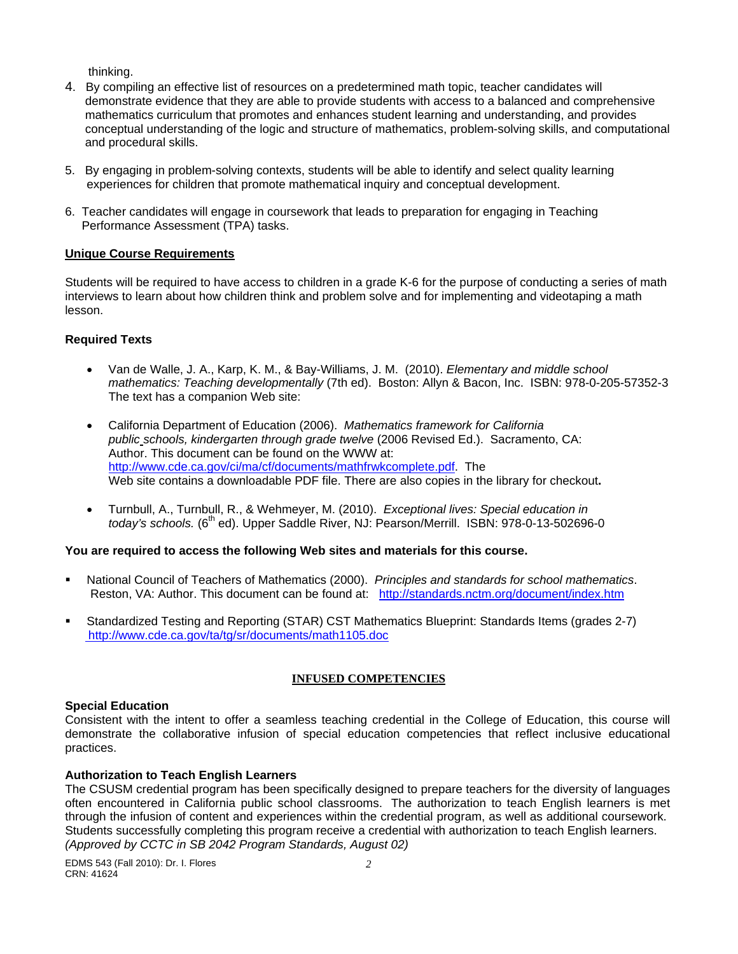thinking.

- 4. By compiling an effective list of resources on a predetermined math topic, teacher candidates will demonstrate evidence that they are able to provide students with access to a balanced and comprehensive mathematics curriculum that promotes and enhances student learning and understanding, and provides conceptual understanding of the logic and structure of mathematics, problem-solving skills, and computational and procedural skills.
- 5. By engaging in problem-solving contexts, students will be able to identify and select quality learning experiences for children that promote mathematical inquiry and conceptual development.
- 6. Teacher candidates will engage in coursework that leads to preparation for engaging in Teaching Performance Assessment (TPA) tasks.

### **Unique Course Requirements**

Students will be required to have access to children in a grade K-6 for the purpose of conducting a series of math interviews to learn about how children think and problem solve and for implementing and videotaping a math lesson.

## **Required Texts**

- Van de Walle, J. A., Karp, K. M., & Bay-Williams, J. M. (2010). *Elementary and middle school mathematics: Teaching developmentally* (7th ed). Boston: Allyn & Bacon, Inc. ISBN: 978-0-205-57352-3 The text has a companion Web site:
- California Department of Education (2006). *Mathematics framework for California public schools, kindergarten through grade twelve* (2006 Revised Ed.). Sacramento, CA: Author. This document can be found on the WWW at: http://www.cde.ca.gov/ci/ma/cf/documents/mathfrwkcomplete.pdf. The Web site contains a downloadable PDF file. There are also copies in the library for checkout**.**
- Turnbull, A., Turnbull, R., & Wehmeyer, M. (2010). *Exceptional lives: Special education in today's schools.* (6<sup>th</sup> ed). Upper Saddle River, NJ: Pearson/Merrill. ISBN: 978-0-13-502696-0

## **You are required to access the following Web sites and materials for this course.**

- National Council of Teachers of Mathematics (2000). *Principles and standards for school mathematics*. Reston, VA: Author. This document can be found at: http://standards.nctm.org/document/index.htm
- Standardized Testing and Reporting (STAR) CST Mathematics Blueprint: Standards Items (grades 2-7) http://www.cde.ca.gov/ta/tg/sr/documents/math1105.doc

## **INFUSED COMPETENCIES**

#### **Special Education**

Consistent with the intent to offer a seamless teaching credential in the College of Education, this course will demonstrate the collaborative infusion of special education competencies that reflect inclusive educational practices.

## **Authorization to Teach English Learners**

 through the infusion of content and experiences within the credential program, as well as additional coursework. The CSUSM credential program has been specifically designed to prepare teachers for the diversity of languages often encountered in California public school classrooms. The authorization to teach English learners is met Students successfully completing this program receive a credential with authorization to teach English learners. *(Approved by CCTC in SB 2042 Program Standards, August 02)*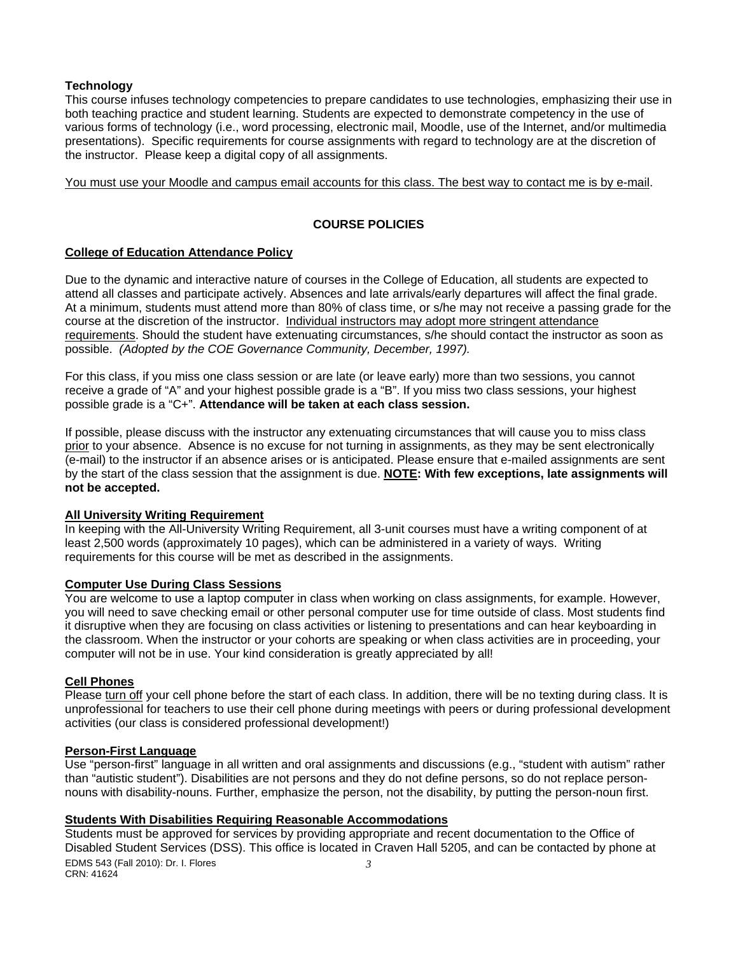#### **Technology**

This course infuses technology competencies to prepare candidates to use technologies, emphasizing their use in both teaching practice and student learning. Students are expected to demonstrate competency in the use of various forms of technology (i.e., word processing, electronic mail, Moodle, use of the Internet, and/or multimedia presentations). Specific requirements for course assignments with regard to technology are at the discretion of the instructor. Please keep a digital copy of all assignments.

You must use your Moodle and campus email accounts for this class. The best way to contact me is by e-mail.

## **COURSE POLICIES**

## **College of Education Attendance Policy**

 possible. *(Adopted by the COE Governance Community, December, 1997).* Due to the dynamic and interactive nature of courses in the College of Education, all students are expected to attend all classes and participate actively. Absences and late arrivals/early departures will affect the final grade. At a minimum, students must attend more than 80% of class time, or s/he may not receive a passing grade for the course at the discretion of the instructor. Individual instructors may adopt more stringent attendance requirements. Should the student have extenuating circumstances, s/he should contact the instructor as soon as

For this class, if you miss one class session or are late (or leave early) more than two sessions, you cannot receive a grade of "A" and your highest possible grade is a "B". If you miss two class sessions, your highest possible grade is a "C+". **Attendance will be taken at each class session.** 

If possible, please discuss with the instructor any extenuating circumstances that will cause you to miss class prior to your absence. Absence is no excuse for not turning in assignments, as they may be sent electronically (e-mail) to the instructor if an absence arises or is anticipated. Please ensure that e-mailed assignments are sent by the start of the class session that the assignment is due. **NOTE: With few exceptions, late assignments will not be accepted.** 

#### **All University Writing Requirement**

In keeping with the All-University Writing Requirement, all 3-unit courses must have a writing component of at least 2,500 words (approximately 10 pages), which can be administered in a variety of ways. Writing requirements for this course will be met as described in the assignments.

#### **Computer Use During Class Sessions**

You are welcome to use a laptop computer in class when working on class assignments, for example. However, you will need to save checking email or other personal computer use for time outside of class. Most students find it disruptive when they are focusing on class activities or listening to presentations and can hear keyboarding in the classroom. When the instructor or your cohorts are speaking or when class activities are in proceeding, your computer will not be in use. Your kind consideration is greatly appreciated by all!

### **Cell Phones**

Please turn off your cell phone before the start of each class. In addition, there will be no texting during class. It is unprofessional for teachers to use their cell phone during meetings with peers or during professional development activities (our class is considered professional development!)

#### **Person-First Language**

Use "person-first" language in all written and oral assignments and discussions (e.g., "student with autism" rather than "autistic student"). Disabilities are not persons and they do not define persons, so do not replace personnouns with disability-nouns. Further, emphasize the person, not the disability, by putting the person-noun first.

#### **Students With Disabilities Requiring Reasonable Accommodations**

Students must be approved for services by providing appropriate and recent documentation to the Office of Disabled Student Services (DSS). This office is located in Craven Hall 5205, and can be contacted by phone at EDMS 543 (Fall 2010): Dr. I. Flores *3*  CRN: 41624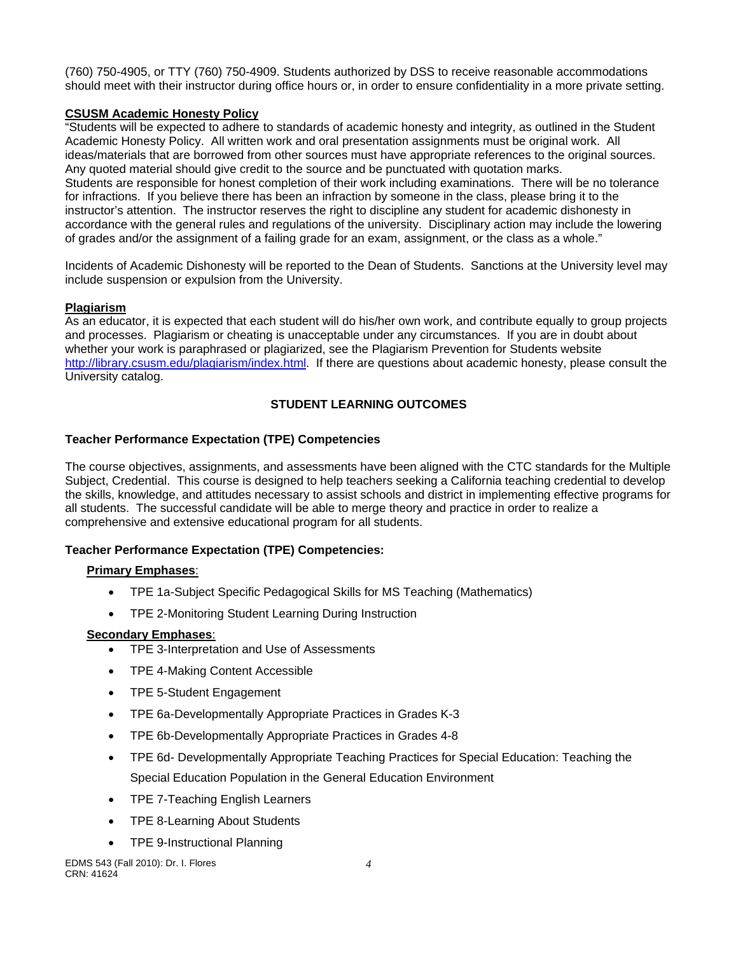(760) 750-4905, or TTY (760) 750-4909. Students authorized by DSS to receive reasonable accommodations should meet with their instructor during office hours or, in order to ensure confidentiality in a more private setting.

## **CSUSM Academic Honesty Policy**

"Students will be expected to adhere to standards of academic honesty and integrity, as outlined in the Student Academic Honesty Policy. All written work and oral presentation assignments must be original work. All ideas/materials that are borrowed from other sources must have appropriate references to the original sources. Any quoted material should give credit to the source and be punctuated with quotation marks. Students are responsible for honest completion of their work including examinations. There will be no tolerance for infractions. If you believe there has been an infraction by someone in the class, please bring it to the instructor's attention. The instructor reserves the right to discipline any student for academic dishonesty in accordance with the general rules and regulations of the university. Disciplinary action may include the lowering of grades and/or the assignment of a failing grade for an exam, assignment, or the class as a whole."

Incidents of Academic Dishonesty will be reported to the Dean of Students. Sanctions at the University level may include suspension or expulsion from the University.

# **Plagiarism**

As an educator, it is expected that each student will do his/her own work, and contribute equally to group projects and processes. Plagiarism or cheating is unacceptable under any circumstances. If you are in doubt about whether your work is paraphrased or plagiarized, see the Plagiarism Prevention for Students website http://library.csusm.edu/plagiarism/index.html. If there are questions about academic honesty, please consult the University catalog.

# **STUDENT LEARNING OUTCOMES**

## **Teacher Performance Expectation (TPE) Competencies**

The course objectives, assignments, and assessments have been aligned with the CTC standards for the Multiple Subject, Credential. This course is designed to help teachers seeking a California teaching credential to develop the skills, knowledge, and attitudes necessary to assist schools and district in implementing effective programs for all students. The successful candidate will be able to merge theory and practice in order to realize a comprehensive and extensive educational program for all students.

# **Teacher Performance Expectation (TPE) Competencies:**

## **Primary Emphases**:

- TPE 1a-Subject Specific Pedagogical Skills for MS Teaching (Mathematics)
- TPE 2-Monitoring Student Learning During Instruction

## **Secondary Emphases**:

- TPE 3-Interpretation and Use of Assessments
- TPE 4-Making Content Accessible
- TPE 5-Student Engagement
- TPE 6a-Developmentally Appropriate Practices in Grades K-3
- TPE 6b-Developmentally Appropriate Practices in Grades 4-8
- TPE 6d- Developmentally Appropriate Teaching Practices for Special Education: Teaching the Special Education Population in the General Education Environment
- TPE 7-Teaching English Learners
- TPE 8-Learning About Students
- TPE 9-Instructional Planning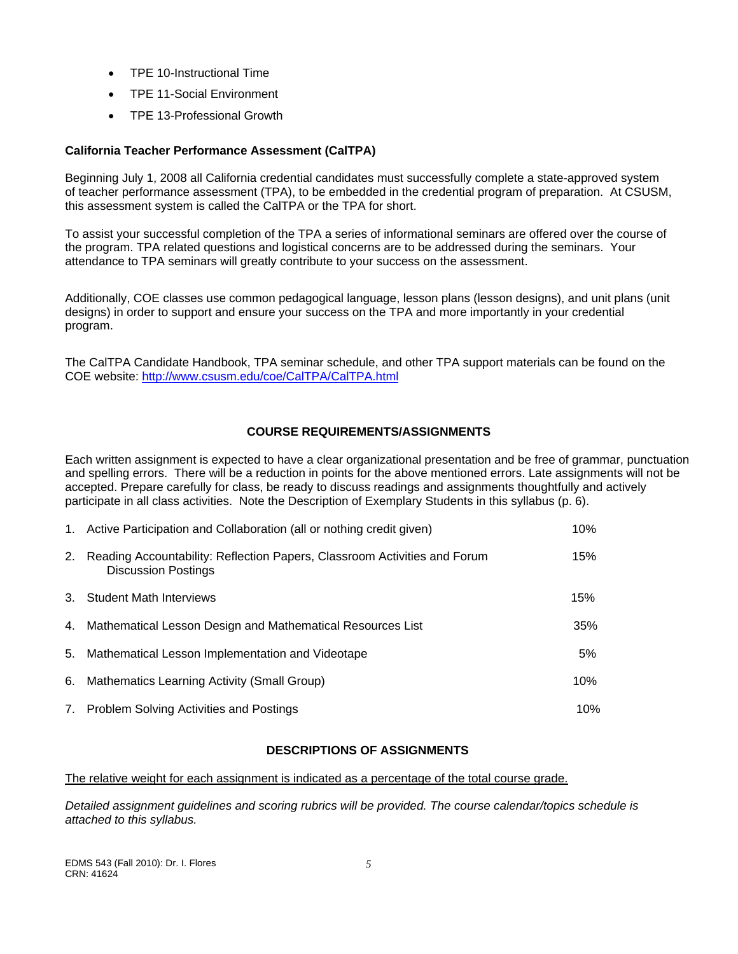- TPE 10-Instructional Time
- TPE 11-Social Environment
- TPE 13-Professional Growth

## **California Teacher Performance Assessment (CalTPA)**

Beginning July 1, 2008 all California credential candidates must successfully complete a state-approved system of teacher performance assessment (TPA), to be embedded in the credential program of preparation. At CSUSM, this assessment system is called the CalTPA or the TPA for short.

To assist your successful completion of the TPA a series of informational seminars are offered over the course of the program. TPA related questions and logistical concerns are to be addressed during the seminars. Your attendance to TPA seminars will greatly contribute to your success on the assessment.

Additionally, COE classes use common pedagogical language, lesson plans (lesson designs), and unit plans (unit designs) in order to support and ensure your success on the TPA and more importantly in your credential program.

The CalTPA Candidate Handbook, TPA seminar schedule, and other TPA support materials can be found on the COE website: http://www.csusm.edu/coe/CalTPA/CalTPA.html

## **COURSE REQUIREMENTS/ASSIGNMENTS**

Each written assignment is expected to have a clear organizational presentation and be free of grammar, punctuation and spelling errors. There will be a reduction in points for the above mentioned errors. Late assignments will not be accepted. Prepare carefully for class, be ready to discuss readings and assignments thoughtfully and actively participate in all class activities. Note the Description of Exemplary Students in this syllabus (p. 6).

|    | 1. Active Participation and Collaboration (all or nothing credit given)                                 | 10% |
|----|---------------------------------------------------------------------------------------------------------|-----|
| 2. | Reading Accountability: Reflection Papers, Classroom Activities and Forum<br><b>Discussion Postings</b> | 15% |
| 3. | <b>Student Math Interviews</b>                                                                          | 15% |
| 4. | Mathematical Lesson Design and Mathematical Resources List                                              | 35% |
| 5. | Mathematical Lesson Implementation and Videotape                                                        | 5%  |
| 6. | Mathematics Learning Activity (Small Group)                                                             | 10% |
| 7. | <b>Problem Solving Activities and Postings</b>                                                          | 10% |

## **DESCRIPTIONS OF ASSIGNMENTS**

The relative weight for each assignment is indicated as a percentage of the total course grade.

*Detailed assignment guidelines and scoring rubrics will be provided. The course calendar/topics schedule is attached to this syllabus.*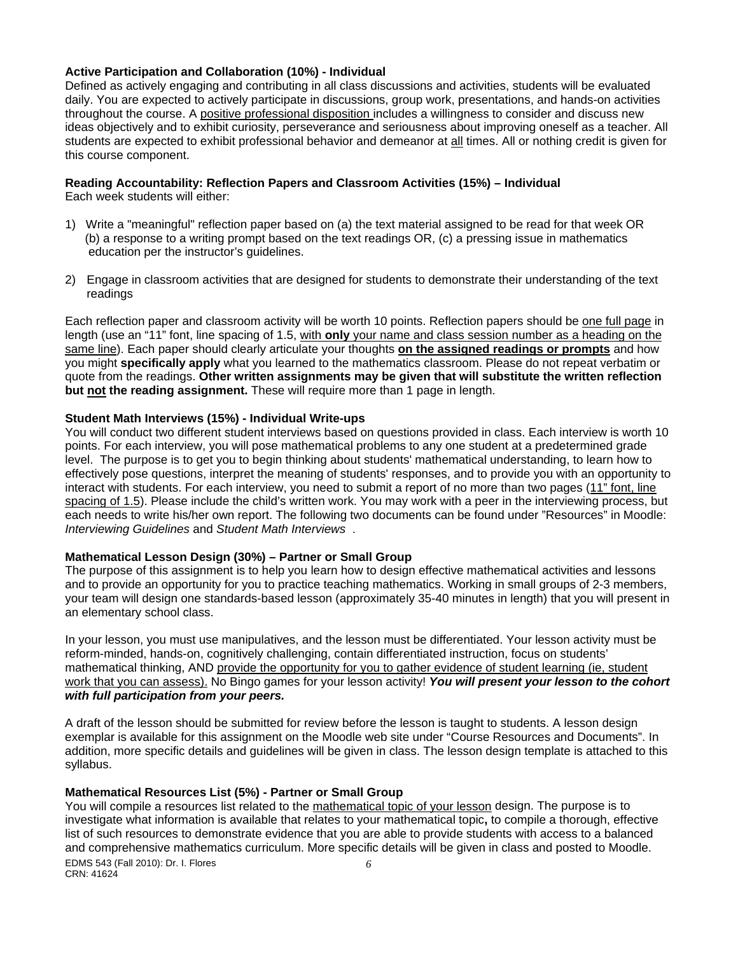#### **Active Participation and Collaboration (10%) - Individual**

Defined as actively engaging and contributing in all class discussions and activities, students will be evaluated daily. You are expected to actively participate in discussions, group work, presentations, and hands-on activities throughout the course. A positive professional disposition includes a willingness to consider and discuss new ideas objectively and to exhibit curiosity, perseverance and seriousness about improving oneself as a teacher. All students are expected to exhibit professional behavior and demeanor at all times. All or nothing credit is given for this course component.

# **Reading Accountability: Reflection Papers and Classroom Activities (15%) – Individual**

Each week students will either:

- 1) Write a "meaningful" reflection paper based on (a) the text material assigned to be read for that week OR (b) a response to a writing prompt based on the text readings OR, (c) a pressing issue in mathematics education per the instructor's guidelines.
- 2) Engage in classroom activities that are designed for students to demonstrate their understanding of the text readings

Each reflection paper and classroom activity will be worth 10 points. Reflection papers should be one full page in length (use an "11" font, line spacing of 1.5, with **only** your name and class session number as a heading on the same line). Each paper should clearly articulate your thoughts **on the assigned readings or prompts** and how you might **specifically apply** what you learned to the mathematics classroom. Please do not repeat verbatim or quote from the readings. **Other written assignments may be given that will substitute the written reflection but not the reading assignment.** These will require more than 1 page in length.

### **Student Math Interviews (15%) - Individual Write-ups**

 *Interviewing Guidelines* and *Student Math Interviews* . You will conduct two different student interviews based on questions provided in class. Each interview is worth 10 points. For each interview, you will pose mathematical problems to any one student at a predetermined grade level. The purpose is to get you to begin thinking about students' mathematical understanding, to learn how to effectively pose questions, interpret the meaning of students' responses, and to provide you with an opportunity to interact with students. For each interview, you need to submit a report of no more than two pages (11" font, line spacing of 1.5). Please include the child's written work. You may work with a peer in the interviewing process, but each needs to write his/her own report. The following two documents can be found under "Resources" in Moodle:

#### **Mathematical Lesson Design (30%) – Partner or Small Group**

The purpose of this assignment is to help you learn how to design effective mathematical activities and lessons and to provide an opportunity for you to practice teaching mathematics. Working in small groups of 2-3 members, your team will design one standards-based lesson (approximately 35-40 minutes in length) that you will present in an elementary school class.

In your lesson, you must use manipulatives, and the lesson must be differentiated. Your lesson activity must be reform-minded, hands-on, cognitively challenging, contain differentiated instruction, focus on students' mathematical thinking, AND provide the opportunity for you to gather evidence of student learning (ie, student work that you can assess). No Bingo games for your lesson activity! *You will present your lesson to the cohort with full participation from your peers.* 

A draft of the lesson should be submitted for review before the lesson is taught to students. A lesson design exemplar is available for this assignment on the Moodle web site under "Course Resources and Documents". In addition, more specific details and guidelines will be given in class. The lesson design template is attached to this syllabus.

## **Mathematical Resources List (5%) - Partner or Small Group**

You will compile a resources list related to the mathematical topic of your lesson design. The purpose is to investigate what information is available that relates to your mathematical topic**,** to compile a thorough, effective list of such resources to demonstrate evidence that you are able to provide students with access to a balanced and comprehensive mathematics curriculum. More specific details will be given in class and posted to Moodle. EDMS 543 (Fall 2010): Dr. I. Flores *6* 

CRN: 41624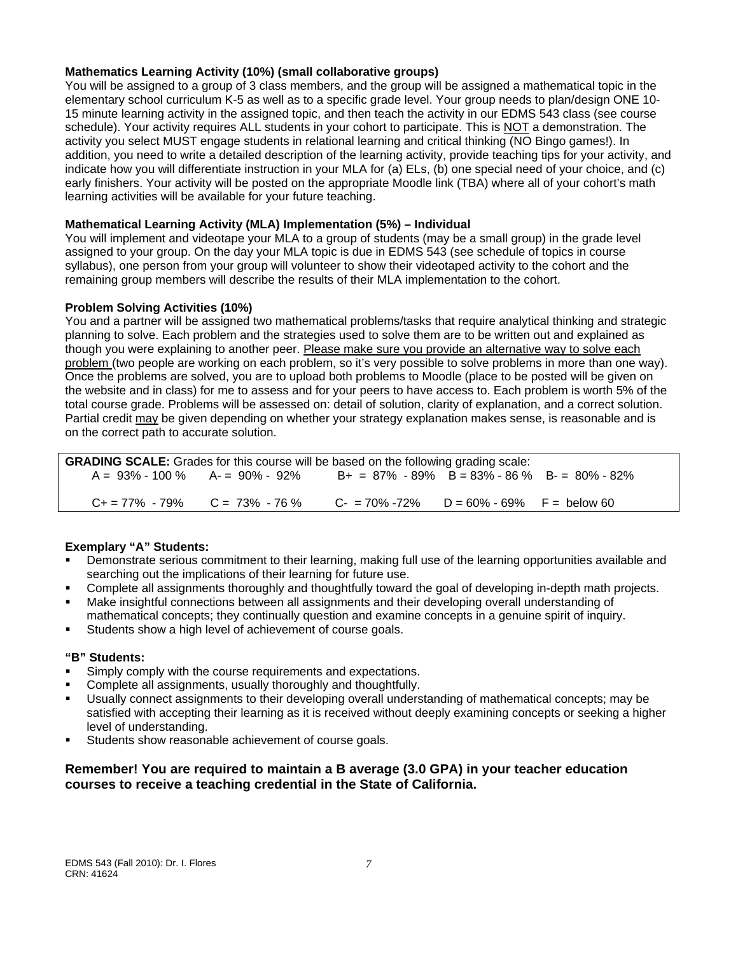### **Mathematics Learning Activity (10%) (small collaborative groups)**

You will be assigned to a group of 3 class members, and the group will be assigned a mathematical topic in the elementary school curriculum K-5 as well as to a specific grade level. Your group needs to plan/design ONE 10- 15 minute learning activity in the assigned topic, and then teach the activity in our EDMS 543 class (see course schedule). Your activity requires ALL students in your cohort to participate. This is NOT a demonstration. The activity you select MUST engage students in relational learning and critical thinking (NO Bingo games!). In addition, you need to write a detailed description of the learning activity, provide teaching tips for your activity, and indicate how you will differentiate instruction in your MLA for (a) ELs, (b) one special need of your choice, and (c) early finishers. Your activity will be posted on the appropriate Moodle link (TBA) where all of your cohort's math learning activities will be available for your future teaching.

### **Mathematical Learning Activity (MLA) Implementation (5%) – Individual**

You will implement and videotape your MLA to a group of students (may be a small group) in the grade level assigned to your group. On the day your MLA topic is due in EDMS 543 (see schedule of topics in course syllabus), one person from your group will volunteer to show their videotaped activity to the cohort and the remaining group members will describe the results of their MLA implementation to the cohort.

### **Problem Solving Activities (10%)**

You and a partner will be assigned two mathematical problems/tasks that require analytical thinking and strategic planning to solve. Each problem and the strategies used to solve them are to be written out and explained as though you were explaining to another peer. Please make sure you provide an alternative way to solve each problem (two people are working on each problem, so it's very possible to solve problems in more than one way). Once the problems are solved, you are to upload both problems to Moodle (place to be posted will be given on the website and in class) for me to assess and for your peers to have access to. Each problem is worth 5% of the total course grade. Problems will be assessed on: detail of solution, clarity of explanation, and a correct solution. Partial credit may be given depending on whether your strategy explanation makes sense, is reasonable and is on the correct path to accurate solution.

| <b>GRADING SCALE:</b> Grades for this course will be based on the following grading scale: |                                                                                        |                                                     |  |  |
|--------------------------------------------------------------------------------------------|----------------------------------------------------------------------------------------|-----------------------------------------------------|--|--|
|                                                                                            | $A = 93\% - 100\%$ $A = 90\% - 92\%$                                                   | $B+ = 87\% - 89\%$ B = 83\% - 86 \% B - 80\% - 82\% |  |  |
|                                                                                            |                                                                                        |                                                     |  |  |
|                                                                                            | $C_+ = 77\%$ - 79% $C = 73\%$ - 76 % $C_+ = 70\%$ -72% $D = 60\%$ - 69% $F =$ below 60 |                                                     |  |  |

## **Exemplary "A" Students:**

- Demonstrate serious commitment to their learning, making full use of the learning opportunities available and searching out the implications of their learning for future use.
- Complete all assignments thoroughly and thoughtfully toward the goal of developing in-depth math projects.
- Make insightful connections between all assignments and their developing overall understanding of mathematical concepts; they continually question and examine concepts in a genuine spirit of inquiry.
- Students show a high level of achievement of course goals.

#### **"B" Students:**

- Simply comply with the course requirements and expectations.
- Complete all assignments, usually thoroughly and thoughtfully.
- Usually connect assignments to their developing overall understanding of mathematical concepts; may be satisfied with accepting their learning as it is received without deeply examining concepts or seeking a higher level of understanding.
- Students show reasonable achievement of course goals.

## **Remember! You are required to maintain a B average (3.0 GPA) in your teacher education courses to receive a teaching credential in the State of California.**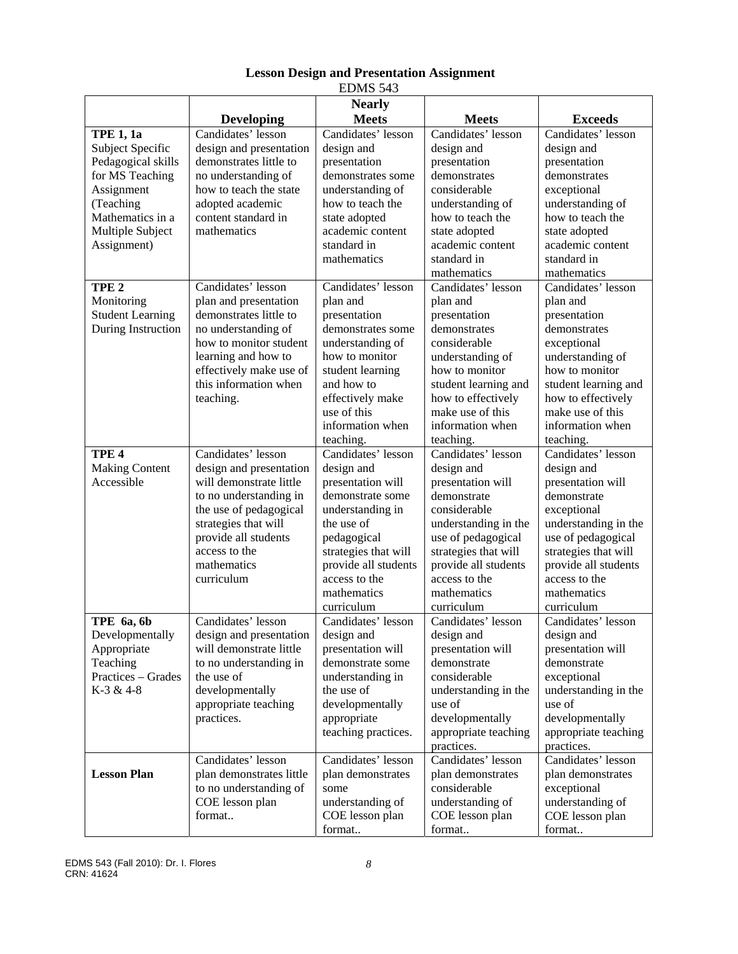| LDIVID J4J                                                                                                                                                      |                                                                                                                                                                                                                            |                                                                                                                                                                                                                          |                                                                                                                                                                                                                                  |                                                                                                                                                                                                                                 |
|-----------------------------------------------------------------------------------------------------------------------------------------------------------------|----------------------------------------------------------------------------------------------------------------------------------------------------------------------------------------------------------------------------|--------------------------------------------------------------------------------------------------------------------------------------------------------------------------------------------------------------------------|----------------------------------------------------------------------------------------------------------------------------------------------------------------------------------------------------------------------------------|---------------------------------------------------------------------------------------------------------------------------------------------------------------------------------------------------------------------------------|
|                                                                                                                                                                 | <b>Developing</b>                                                                                                                                                                                                          | <b>Nearly</b><br><b>Meets</b>                                                                                                                                                                                            | <b>Meets</b>                                                                                                                                                                                                                     | <b>Exceeds</b>                                                                                                                                                                                                                  |
| <b>TPE 1, 1a</b><br>Subject Specific<br>Pedagogical skills<br>for MS Teaching<br>Assignment<br>(Teaching<br>Mathematics in a<br>Multiple Subject<br>Assignment) | Candidates' lesson<br>design and presentation<br>demonstrates little to<br>no understanding of<br>how to teach the state<br>adopted academic<br>content standard in<br>mathematics                                         | Candidates' lesson<br>design and<br>presentation<br>demonstrates some<br>understanding of<br>how to teach the<br>state adopted<br>academic content<br>standard in<br>mathematics                                         | Candidates' lesson<br>design and<br>presentation<br>demonstrates<br>considerable<br>understanding of<br>how to teach the<br>state adopted<br>academic content<br>standard in<br>mathematics                                      | Candidates' lesson<br>design and<br>presentation<br>demonstrates<br>exceptional<br>understanding of<br>how to teach the<br>state adopted<br>academic content<br>standard in<br>mathematics                                      |
| TPE <sub>2</sub><br>Monitoring<br><b>Student Learning</b><br>During Instruction                                                                                 | Candidates' lesson<br>plan and presentation<br>demonstrates little to<br>no understanding of<br>how to monitor student<br>learning and how to<br>effectively make use of<br>this information when<br>teaching.             | Candidates' lesson<br>plan and<br>presentation<br>demonstrates some<br>understanding of<br>how to monitor<br>student learning<br>and how to<br>effectively make<br>use of this<br>information when<br>teaching.          | Candidates' lesson<br>plan and<br>presentation<br>demonstrates<br>considerable<br>understanding of<br>how to monitor<br>student learning and<br>how to effectively<br>make use of this<br>information when<br>teaching.          | Candidates' lesson<br>plan and<br>presentation<br>demonstrates<br>exceptional<br>understanding of<br>how to monitor<br>student learning and<br>how to effectively<br>make use of this<br>information when<br>teaching.          |
| TPE <sub>4</sub><br><b>Making Content</b><br>Accessible                                                                                                         | Candidates' lesson<br>design and presentation<br>will demonstrate little<br>to no understanding in<br>the use of pedagogical<br>strategies that will<br>provide all students<br>access to the<br>mathematics<br>curriculum | Candidates' lesson<br>design and<br>presentation will<br>demonstrate some<br>understanding in<br>the use of<br>pedagogical<br>strategies that will<br>provide all students<br>access to the<br>mathematics<br>curriculum | Candidates' lesson<br>design and<br>presentation will<br>demonstrate<br>considerable<br>understanding in the<br>use of pedagogical<br>strategies that will<br>provide all students<br>access to the<br>mathematics<br>curriculum | Candidates' lesson<br>design and<br>presentation will<br>demonstrate<br>exceptional<br>understanding in the<br>use of pedagogical<br>strategies that will<br>provide all students<br>access to the<br>mathematics<br>curriculum |
| TPE 6a, 6b<br>Developmentally<br>Appropriate<br>Teaching<br>Practices - Grades<br>K-3 & 4-8                                                                     | Candidates' lesson<br>design and presentation<br>will demonstrate little<br>to no understanding in<br>the use of<br>developmentally<br>appropriate teaching<br>practices.                                                  | Candidates' lesson<br>design and<br>presentation will<br>demonstrate some<br>understanding in<br>the use of<br>developmentally<br>appropriate<br>teaching practices.                                                     | Candidates' lesson<br>design and<br>presentation will<br>demonstrate<br>considerable<br>understanding in the<br>use of<br>developmentally<br>appropriate teaching<br>practices.                                                  | Candidates' lesson<br>design and<br>presentation will<br>demonstrate<br>exceptional<br>understanding in the<br>use of<br>developmentally<br>appropriate teaching<br>practices.                                                  |
| <b>Lesson Plan</b>                                                                                                                                              | Candidates' lesson<br>plan demonstrates little<br>to no understanding of<br>COE lesson plan<br>format                                                                                                                      | Candidates' lesson<br>plan demonstrates<br>some<br>understanding of<br>COE lesson plan<br>format                                                                                                                         | Candidates' lesson<br>plan demonstrates<br>considerable<br>understanding of<br>COE lesson plan<br>format                                                                                                                         | Candidates' lesson<br>plan demonstrates<br>exceptional<br>understanding of<br>COE lesson plan<br>format                                                                                                                         |

## **Lesson Design and Presentation Assignment**  EDMS 543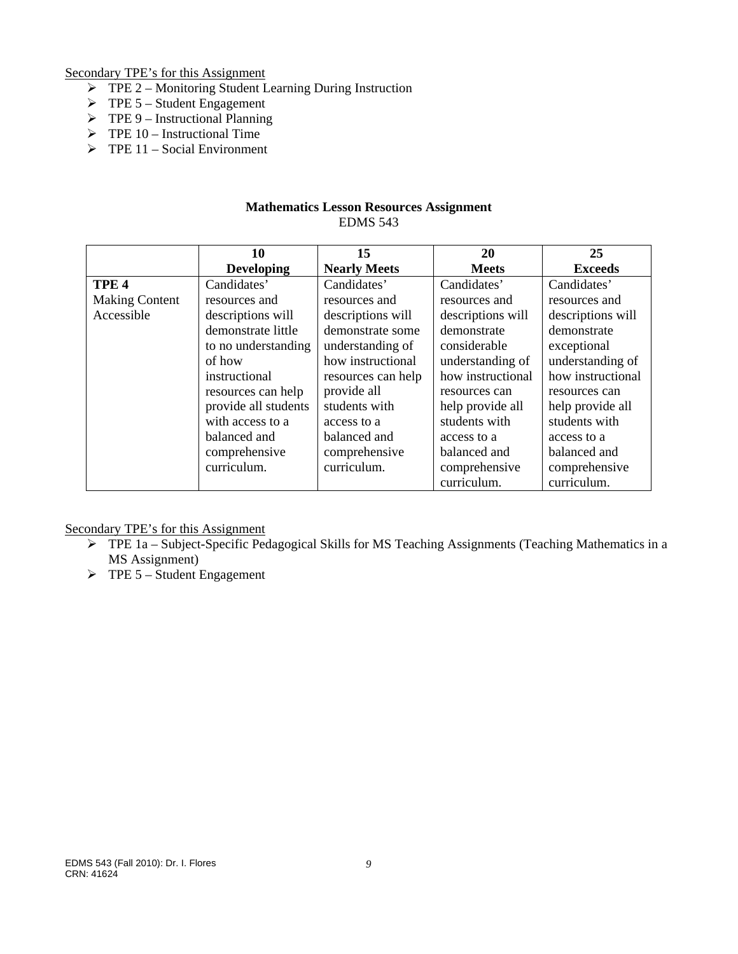Secondary TPE's for this Assignment

- $\triangleright$  TPE 2 Monitoring Student Learning During Instruction
- $\triangleright$  TPE 5 Student Engagement
- $\triangleright$  TPE 9 Instructional Planning
- $\triangleright$  TPE 10 Instructional Time
- $\triangleright$  TPE 11 Social Environment

### **Mathematics Lesson Resources Assignment**  EDMS 543

|                       | 10                   | 15                  | 20                | 25                |
|-----------------------|----------------------|---------------------|-------------------|-------------------|
|                       | <b>Developing</b>    | <b>Nearly Meets</b> | <b>Meets</b>      | <b>Exceeds</b>    |
| TPE <sub>4</sub>      | Candidates'          | Candidates'         | Candidates'       | Candidates'       |
| <b>Making Content</b> | resources and        | resources and       | resources and     | resources and     |
| Accessible            | descriptions will    | descriptions will   | descriptions will | descriptions will |
|                       | demonstrate little   | demonstrate some    | demonstrate       | demonstrate       |
|                       | to no understanding  | understanding of    | considerable      | exceptional       |
|                       | of how               | how instructional   | understanding of  | understanding of  |
|                       | instructional        | resources can help  | how instructional | how instructional |
|                       | resources can help   | provide all         | resources can     | resources can     |
|                       | provide all students | students with       | help provide all  | help provide all  |
|                       | with access to a     | access to a         | students with     | students with     |
|                       | balanced and         | balanced and        | access to a       | access to a       |
|                       | comprehensive        | comprehensive       | balanced and      | balanced and      |
|                       | curriculum.          | curriculum.         | comprehensive     | comprehensive     |
|                       |                      |                     | curriculum.       | curriculum.       |

Secondary TPE's for this Assignment

- $\triangleright$  TPE 1a Subject-Specific Pedagogical Skills for MS Teaching Assignments (Teaching Mathematics in a MS Assignment)
- $\triangleright$  TPE 5 Student Engagement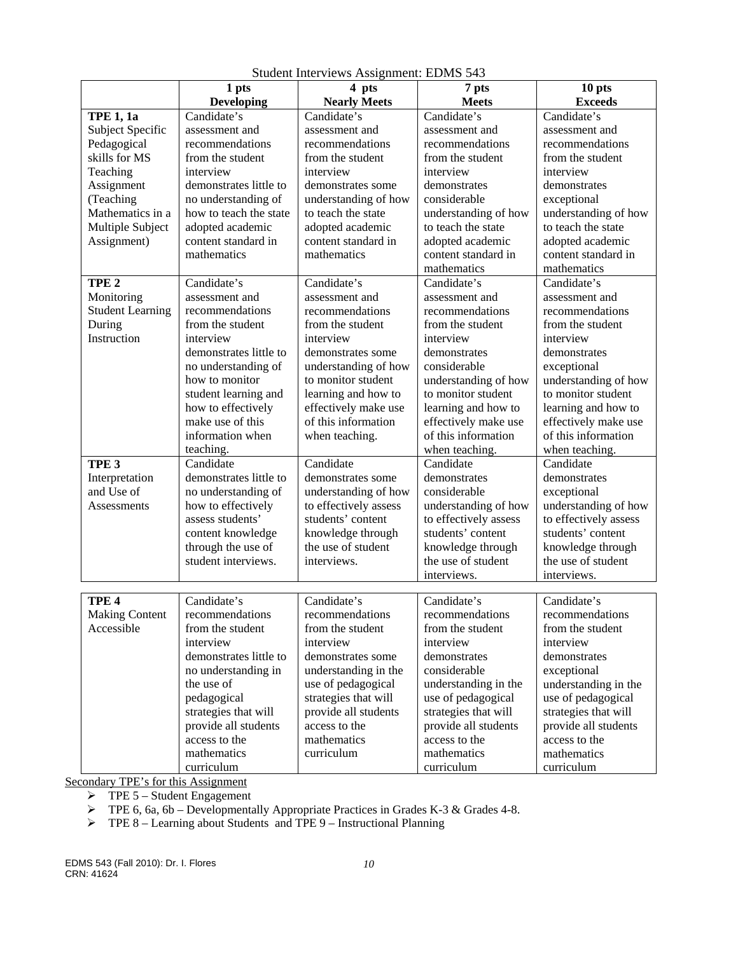|                                     | 1 pts                               | 4 pts                 | 7 pts                     | 10 pts                |
|-------------------------------------|-------------------------------------|-----------------------|---------------------------|-----------------------|
|                                     | <b>Developing</b>                   | <b>Nearly Meets</b>   | <b>Meets</b>              | <b>Exceeds</b>        |
| <b>TPE 1, 1a</b>                    | Candidate's                         | Candidate's           | Candidate's               | Candidate's           |
| Subject Specific                    | assessment and                      | assessment and        | assessment and            | assessment and        |
| Pedagogical                         | recommendations                     | recommendations       | recommendations           | recommendations       |
| skills for MS                       | from the student                    | from the student      | from the student          | from the student      |
| Teaching                            | interview                           | interview             | interview                 | interview             |
| Assignment                          | demonstrates little to              | demonstrates some     | demonstrates              | demonstrates          |
| (Teaching                           | no understanding of                 | understanding of how  | considerable              | exceptional           |
| Mathematics in a                    | how to teach the state              | to teach the state    | understanding of how      | understanding of how  |
| Multiple Subject                    | adopted academic                    | adopted academic      | to teach the state        | to teach the state    |
| Assignment)                         | content standard in                 | content standard in   | adopted academic          | adopted academic      |
|                                     | mathematics                         | mathematics           | content standard in       | content standard in   |
|                                     |                                     |                       | mathematics               | mathematics           |
| TPE <sub>2</sub>                    | Candidate's                         | Candidate's           | Candidate's               | Candidate's           |
| Monitoring                          | assessment and                      | assessment and        | assessment and            | assessment and        |
| <b>Student Learning</b>             | recommendations                     | recommendations       | recommendations           | recommendations       |
| During                              | from the student                    | from the student      | from the student          | from the student      |
| Instruction                         | interview                           | interview             | interview                 | interview             |
|                                     | demonstrates little to              | demonstrates some     | demonstrates              | demonstrates          |
|                                     | no understanding of                 | understanding of how  | considerable              | exceptional           |
|                                     | how to monitor                      | to monitor student    | understanding of how      | understanding of how  |
|                                     | student learning and                | learning and how to   | to monitor student        | to monitor student    |
|                                     | how to effectively                  | effectively make use  | learning and how to       | learning and how to   |
|                                     | make use of this                    | of this information   | effectively make use      | effectively make use  |
|                                     | information when                    | when teaching.        | of this information       | of this information   |
|                                     | teaching.                           |                       | when teaching.            | when teaching.        |
| TPE <sub>3</sub>                    | Candidate                           | Candidate             | Candidate                 | Candidate             |
| Interpretation                      | demonstrates little to              | demonstrates some     | demonstrates              | demonstrates          |
| and Use of                          | no understanding of                 | understanding of how  | considerable              | exceptional           |
| Assessments                         | how to effectively                  | to effectively assess | understanding of how      | understanding of how  |
|                                     | assess students'                    | students' content     | to effectively assess     | to effectively assess |
|                                     | content knowledge                   | knowledge through     | students' content         | students' content     |
|                                     | through the use of                  | the use of student    | knowledge through         | knowledge through     |
|                                     | student interviews.                 | interviews.           | the use of student        | the use of student    |
|                                     |                                     |                       | interviews.               | interviews.           |
|                                     | Candidate's                         | Candidate's           |                           | Candidate's           |
| TPE <sub>4</sub>                    |                                     |                       | Candidate's               |                       |
| <b>Making Content</b><br>Accessible | recommendations<br>from the student | recommendations       | recommendations           | recommendations       |
|                                     |                                     | from the student      | from the student          | from the student      |
|                                     | interview<br>demonstrates little to | interview             | interview<br>demonstrates | interview             |
|                                     |                                     | demonstrates some     |                           | demonstrates          |
|                                     | no understanding in                 | understanding in the  | considerable              | exceptional           |
|                                     | the use of                          | use of pedagogical    | understanding in the      | understanding in the  |
|                                     | pedagogical                         | strategies that will  | use of pedagogical        | use of pedagogical    |
|                                     | strategies that will                | provide all students  | strategies that will      | strategies that will  |
|                                     | provide all students                | access to the         | provide all students      | provide all students  |
|                                     | access to the                       | mathematics           | access to the             | access to the         |
|                                     | mathematics                         | curriculum            | mathematics               | mathematics           |
|                                     | curriculum                          |                       | curriculum                | curriculum            |

Student Interviews Assignment: EDMS 543

Secondary TPE's for this Assignment

 $\triangleright$  TPE 5 – Student Engagement

 $\triangleright$  TPE 6, 6a, 6b – Developmentally Appropriate Practices in Grades K-3 & Grades 4-8.

 $\triangleright$  TPE 8 – Learning about Students and TPE 9 – Instructional Planning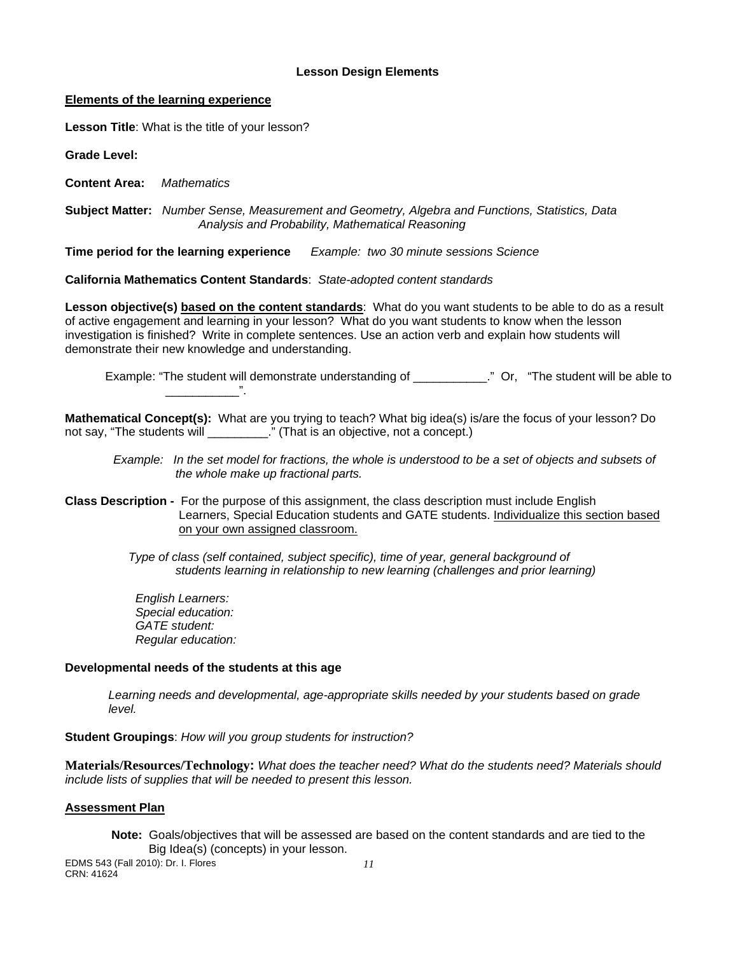#### **Lesson Design Elements**

#### **Elements of the learning experience**

**Lesson Title**: What is the title of your lesson?

**Grade Level:** 

**Content Area:** *Mathematics* 

 **Subject Matter:** *Number Sense, Measurement and Geometry, Algebra and Functions, Statistics, Data Analysis and Probability, Mathematical Reasoning* 

**Time period for the learning experience** *Example: two 30 minute sessions Science* 

**California Mathematics Content Standards**: *State-adopted content standards* 

**Lesson objective(s) based on the content standards**: What do you want students to be able to do as a result of active engagement and learning in your lesson? What do you want students to know when the lesson investigation is finished? Write in complete sentences. Use an action verb and explain how students will demonstrate their new knowledge and understanding.

Example: "The student will demonstrate understanding of \_\_\_\_\_\_\_\_\_\_\_." Or, "The student will be able to

**Mathematical Concept(s):** What are you trying to teach? What big idea(s) is/are the focus of your lesson? Do not say, "The students will **The students** will **result in the student** of  $\mathbf{r}$ ." (That is an objective, not a concept.)

*Example: In the set model for fractions, the whole is understood to be a set of objects and subsets of the whole make up fractional parts.* 

**Class Description -** For the purpose of this assignment, the class description must include English Learners, Special Education students and GATE students. Individualize this section based on your own assigned classroom.

> *Type of class (self contained, subject specific), time of year, general background of students learning in relationship to new learning (challenges and prior learning)*

*English Learners: Special education: GATE student: Regular education:* 

#### **Developmental needs of the students at this age**

\_\_\_\_\_\_\_\_\_\_\_".

*Learning needs and developmental, age-appropriate skills needed by your students based on grade level.* 

**Student Groupings**: *How will you group students for instruction?* 

**Materials/Resources/Technology:** *What does the teacher need? What do the students need? Materials should include lists of supplies that will be needed to present this lesson.* 

## **Assessment Plan**

**Note:** Goals/objectives that will be assessed are based on the content standards and are tied to the Big Idea(s) (concepts) in your lesson.

EDMS 543 (Fall 2010): Dr. I. Flores *11*  CRN: 41624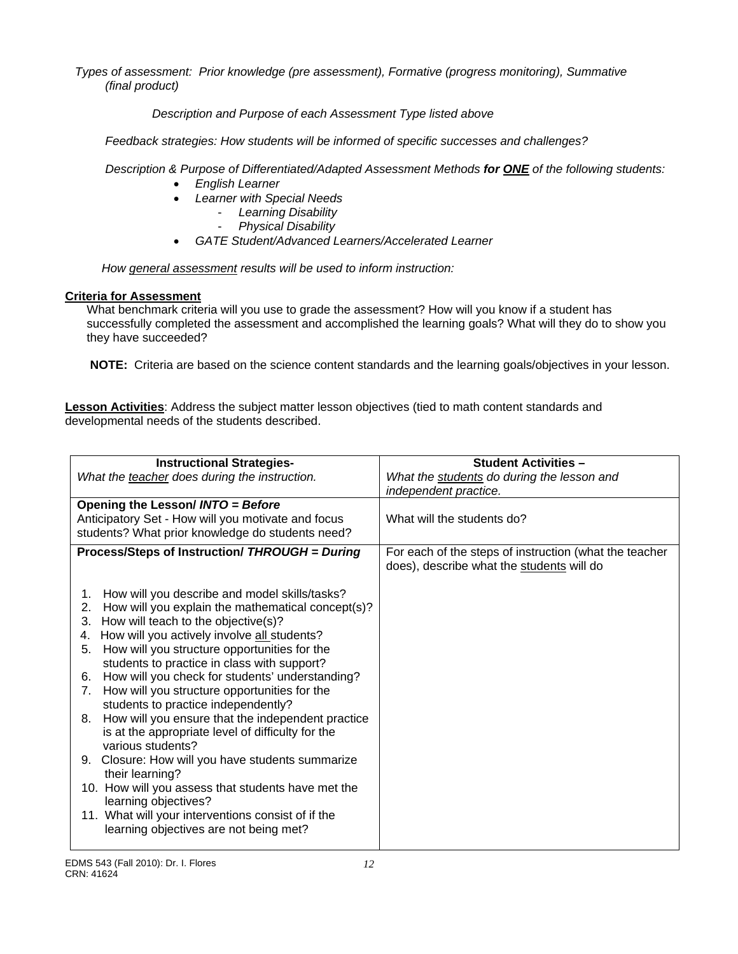*Types of assessment: Prior knowledge (pre assessment), Formative (progress monitoring), Summative (final product)*

 *Description and Purpose of each Assessment Type listed above* 

 *Feedback strategies: How students will be informed of specific successes and challenges?*

 *Description & Purpose of Differentiated/Adapted Assessment Methods for ONE of the following students:* 

- *English Learner*
- *Learner with Special Needs* 
	- *Learning Disability* 
		- *Physical Disability*
- *GATE Student/Advanced Learners/Accelerated Learner*

*How general assessment results will be used to inform instruction:* 

## **Criteria for Assessment**

What benchmark criteria will you use to grade the assessment? How will you know if a student has successfully completed the assessment and accomplished the learning goals? What will they do to show you they have succeeded?

**NOTE:** Criteria are based on the science content standards and the learning goals/objectives in your lesson.

**Lesson Activities**: Address the subject matter lesson objectives (tied to math content standards and developmental needs of the students described.

| <b>Instructional Strategies-</b>                                                                               | <b>Student Activities -</b>                                                                         |
|----------------------------------------------------------------------------------------------------------------|-----------------------------------------------------------------------------------------------------|
| What the teacher does during the instruction.                                                                  | What the students do during the lesson and<br>independent practice.                                 |
| Opening the Lesson/ INTO = Before                                                                              |                                                                                                     |
| Anticipatory Set - How will you motivate and focus                                                             | What will the students do?                                                                          |
| students? What prior knowledge do students need?                                                               |                                                                                                     |
| Process/Steps of Instruction/ THROUGH = During                                                                 | For each of the steps of instruction (what the teacher<br>does), describe what the students will do |
| How will you describe and model skills/tasks?<br>1.<br>How will you explain the mathematical concept(s)?<br>2. |                                                                                                     |
| How will teach to the objective(s)?<br>3.                                                                      |                                                                                                     |
| How will you actively involve all students?<br>4.<br>How will you structure opportunities for the<br>5.        |                                                                                                     |
| students to practice in class with support?                                                                    |                                                                                                     |
| How will you check for students' understanding?<br>6.                                                          |                                                                                                     |
| How will you structure opportunities for the<br>7.                                                             |                                                                                                     |
| students to practice independently?                                                                            |                                                                                                     |
| How will you ensure that the independent practice<br>8.                                                        |                                                                                                     |
| is at the appropriate level of difficulty for the                                                              |                                                                                                     |
| various students?                                                                                              |                                                                                                     |
| Closure: How will you have students summarize<br>9.                                                            |                                                                                                     |
| their learning?                                                                                                |                                                                                                     |
| 10. How will you assess that students have met the<br>learning objectives?                                     |                                                                                                     |
| 11. What will your interventions consist of if the                                                             |                                                                                                     |
| learning objectives are not being met?                                                                         |                                                                                                     |
|                                                                                                                |                                                                                                     |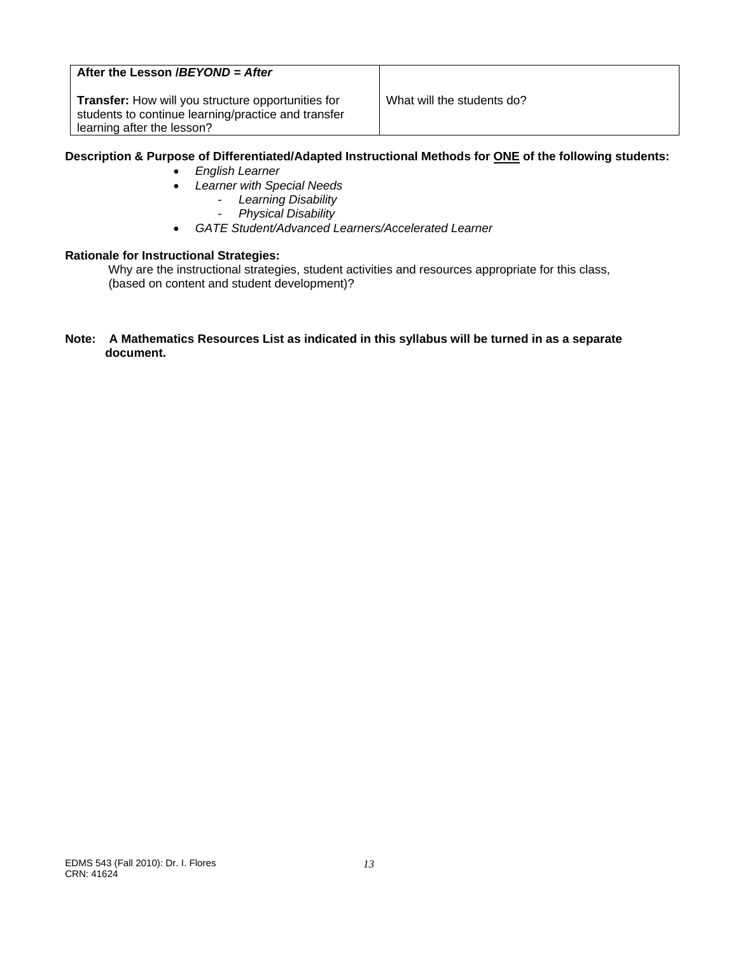## **After the Lesson /***BEYOND = After*

**Transfer:** How will you structure opportunities for What will the students do? students to continue learning/practice and transfer learning after the lesson?

## **Description & Purpose of Differentiated/Adapted Instructional Methods for ONE of the following students:**

- *English Learner*
- *Learner with Special Needs*
	- *Learning Disability*
	- *Physical Disability*
- *GATE Student/Advanced Learners/Accelerated Learner*

#### **Rationale for Instructional Strategies:**

Why are the instructional strategies, student activities and resources appropriate for this class, (based on content and student development)?

#### **Note: A Mathematics Resources List as indicated in this syllabus will be turned in as a separate document.**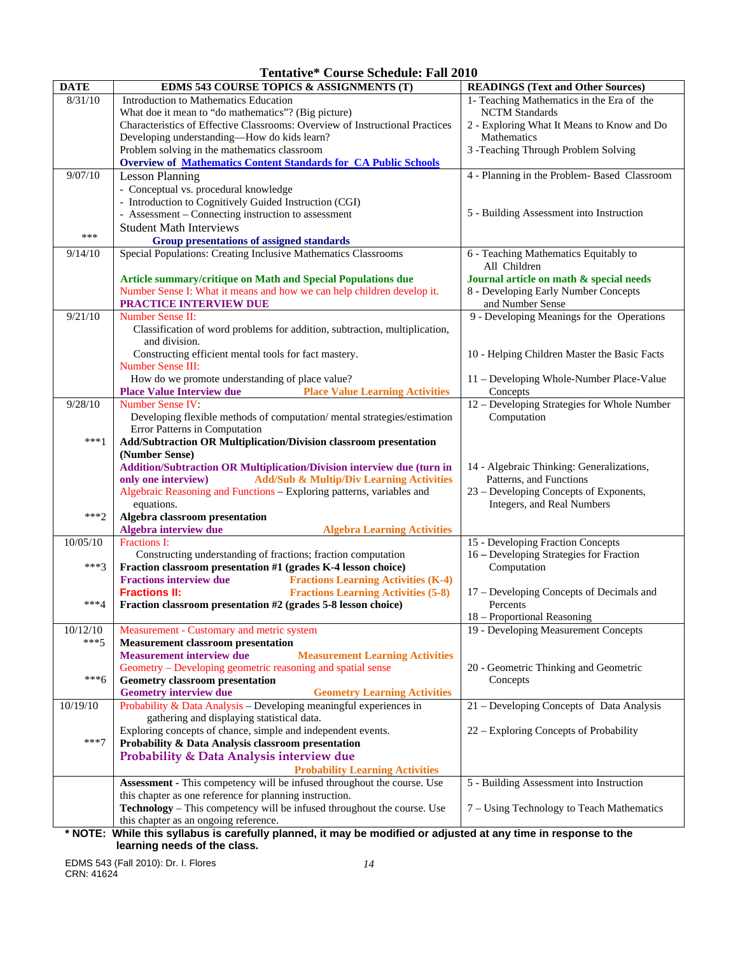**Tentative\* Course Schedule: Fall 2010** 

| <b>DATE</b> | EDMS 543 COURSE TOPICS & ASSIGNMENTS (T)                                                                                                                | <b>READINGS (Text and Other Sources)</b>                 |
|-------------|---------------------------------------------------------------------------------------------------------------------------------------------------------|----------------------------------------------------------|
| 8/31/10     | Introduction to Mathematics Education                                                                                                                   | 1- Teaching Mathematics in the Era of the                |
|             | What doe it mean to "do mathematics"? (Big picture)                                                                                                     | <b>NCTM</b> Standards                                    |
|             | Characteristics of Effective Classrooms: Overview of Instructional Practices                                                                            | 2 - Exploring What It Means to Know and Do               |
|             | Developing understanding-How do kids learn?                                                                                                             | Mathematics                                              |
|             | Problem solving in the mathematics classroom                                                                                                            | 3 - Teaching Through Problem Solving                     |
|             | <b>Overview of Mathematics Content Standards for CA Public Schools</b>                                                                                  |                                                          |
| 9/07/10     | <b>Lesson Planning</b>                                                                                                                                  | 4 - Planning in the Problem- Based Classroom             |
|             | - Conceptual vs. procedural knowledge                                                                                                                   |                                                          |
|             | - Introduction to Cognitively Guided Instruction (CGI)                                                                                                  |                                                          |
|             | - Assessment – Connecting instruction to assessment                                                                                                     | 5 - Building Assessment into Instruction                 |
|             | <b>Student Math Interviews</b>                                                                                                                          |                                                          |
| ***         | <b>Group presentations of assigned standards</b>                                                                                                        |                                                          |
| 9/14/10     | Special Populations: Creating Inclusive Mathematics Classrooms                                                                                          | 6 - Teaching Mathematics Equitably to                    |
|             |                                                                                                                                                         | All Children                                             |
|             | Article summary/critique on Math and Special Populations due                                                                                            | Journal article on math & special needs                  |
|             | Number Sense I: What it means and how we can help children develop it.                                                                                  | 8 - Developing Early Number Concepts<br>and Number Sense |
| 9/21/10     | PRACTICE INTERVIEW DUE<br><b>Number Sense II:</b>                                                                                                       | 9 - Developing Meanings for the Operations               |
|             | Classification of word problems for addition, subtraction, multiplication,                                                                              |                                                          |
|             | and division.                                                                                                                                           |                                                          |
|             | Constructing efficient mental tools for fact mastery.                                                                                                   | 10 - Helping Children Master the Basic Facts             |
|             | <b>Number Sense III:</b>                                                                                                                                |                                                          |
|             | How do we promote understanding of place value?                                                                                                         | 11 – Developing Whole-Number Place-Value                 |
|             | <b>Place Value Interview due</b><br><b>Place Value Learning Activities</b>                                                                              | Concepts                                                 |
| 9/28/10     | Number Sense IV:                                                                                                                                        | 12 - Developing Strategies for Whole Number              |
|             | Developing flexible methods of computation/mental strategies/estimation                                                                                 | Computation                                              |
|             | Error Patterns in Computation                                                                                                                           |                                                          |
| $***1$      | Add/Subtraction OR Multiplication/Division classroom presentation                                                                                       |                                                          |
|             | (Number Sense)                                                                                                                                          |                                                          |
|             | Addition/Subtraction OR Multiplication/Division interview due (turn in                                                                                  | 14 - Algebraic Thinking: Generalizations,                |
|             | <b>Add/Sub &amp; Multip/Div Learning Activities</b><br>only one interview)                                                                              | Patterns, and Functions                                  |
|             | Algebraic Reasoning and Functions - Exploring patterns, variables and                                                                                   | 23 - Developing Concepts of Exponents,                   |
|             | equations.                                                                                                                                              | Integers, and Real Numbers                               |
| $***2$      | Algebra classroom presentation                                                                                                                          |                                                          |
|             | Algebra interview due<br><b>Algebra Learning Activities</b>                                                                                             |                                                          |
| 10/05/10    | Fractions I:                                                                                                                                            | 15 - Developing Fraction Concepts                        |
| ***3        | Constructing understanding of fractions; fraction computation<br>Fraction classroom presentation #1 (grades K-4 lesson choice)                          | 16 - Developing Strategies for Fraction<br>Computation   |
|             | <b>Fractions interview due</b><br><b>Fractions Learning Activities (K-4)</b>                                                                            |                                                          |
|             | <b>Fractions II:</b><br><b>Fractions Learning Activities (5-8)</b>                                                                                      | 17 – Developing Concepts of Decimals and                 |
| $***4$      | Fraction classroom presentation #2 (grades 5-8 lesson choice)                                                                                           | Percents                                                 |
|             |                                                                                                                                                         | 18 – Proportional Reasoning                              |
| 10/12/10    | Measurement - Customary and metric system                                                                                                               | 19 - Developing Measurement Concepts                     |
| $***5$      | <b>Measurement classroom presentation</b>                                                                                                               |                                                          |
|             | <b>Measurement interview due</b><br><b>Measurement Learning Activities</b>                                                                              |                                                          |
|             | Geometry – Developing geometric reasoning and spatial sense                                                                                             | 20 - Geometric Thinking and Geometric                    |
| $***6$      | <b>Geometry classroom presentation</b>                                                                                                                  | Concepts                                                 |
|             | <b>Geometry interview due</b><br><b>Geometry Learning Activities</b>                                                                                    |                                                          |
| 10/19/10    | Probability & Data Analysis - Developing meaningful experiences in                                                                                      | 21 – Developing Concepts of Data Analysis                |
|             | gathering and displaying statistical data.                                                                                                              |                                                          |
|             | Exploring concepts of chance, simple and independent events.                                                                                            | 22 – Exploring Concepts of Probability                   |
| $***7$      | Probability & Data Analysis classroom presentation                                                                                                      |                                                          |
|             | Probability & Data Analysis interview due                                                                                                               |                                                          |
|             | <b>Probability Learning Activities</b>                                                                                                                  |                                                          |
|             | Assessment - This competency will be infused throughout the course. Use                                                                                 | 5 - Building Assessment into Instruction                 |
|             | this chapter as one reference for planning instruction.                                                                                                 |                                                          |
|             | Technology - This competency will be infused throughout the course. Use                                                                                 | 7 - Using Technology to Teach Mathematics                |
|             | this chapter as an ongoing reference.<br>* NOTE: While this syllabus is carefully planned it may be modified or adjusted at any time in response to the |                                                          |

**\* NOTE: While this syllabus is carefully planned, it may be modified or adjusted at any time in response to the learning needs of the class.** 

EDMS 543 (Fall 2010): Dr. I. Flores *14*  CRN: 41624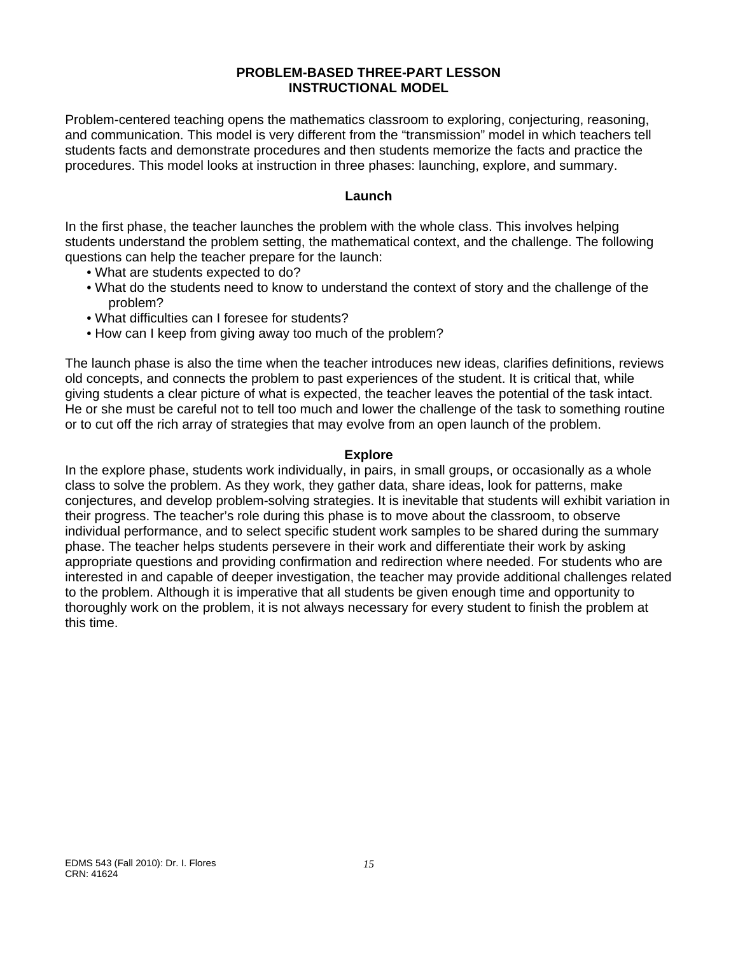## **PROBLEM-BASED THREE-PART LESSON INSTRUCTIONAL MODEL**

Problem-centered teaching opens the mathematics classroom to exploring, conjecturing, reasoning, and communication. This model is very different from the "transmission" model in which teachers tell students facts and demonstrate procedures and then students memorize the facts and practice the procedures. This model looks at instruction in three phases: launching, explore, and summary.

## **Launch**

In the first phase, the teacher launches the problem with the whole class. This involves helping students understand the problem setting, the mathematical context, and the challenge. The following questions can help the teacher prepare for the launch:

- . What are students expected to do?
- What do the students need to know to understand the context of story and the challenge of the problem?
- What difficulties can I foresee for students?
- How can I keep from giving away too much of the problem?

The launch phase is also the time when the teacher introduces new ideas, clarifies definitions, reviews old concepts, and connects the problem to past experiences of the student. It is critical that, while giving students a clear picture of what is expected, the teacher leaves the potential of the task intact. He or she must be careful not to tell too much and lower the challenge of the task to something routine or to cut off the rich array of strategies that may evolve from an open launch of the problem.

## **Explore**

In the explore phase, students work individually, in pairs, in small groups, or occasionally as a whole class to solve the problem. As they work, they gather data, share ideas, look for patterns, make conjectures, and develop problem-solving strategies. It is inevitable that students will exhibit variation in their progress. The teacher's role during this phase is to move about the classroom, to observe individual performance, and to select specific student work samples to be shared during the summary phase. The teacher helps students persevere in their work and differentiate their work by asking appropriate questions and providing confirmation and redirection where needed. For students who are interested in and capable of deeper investigation, the teacher may provide additional challenges related to the problem. Although it is imperative that all students be given enough time and opportunity to thoroughly work on the problem, it is not always necessary for every student to finish the problem at this time.